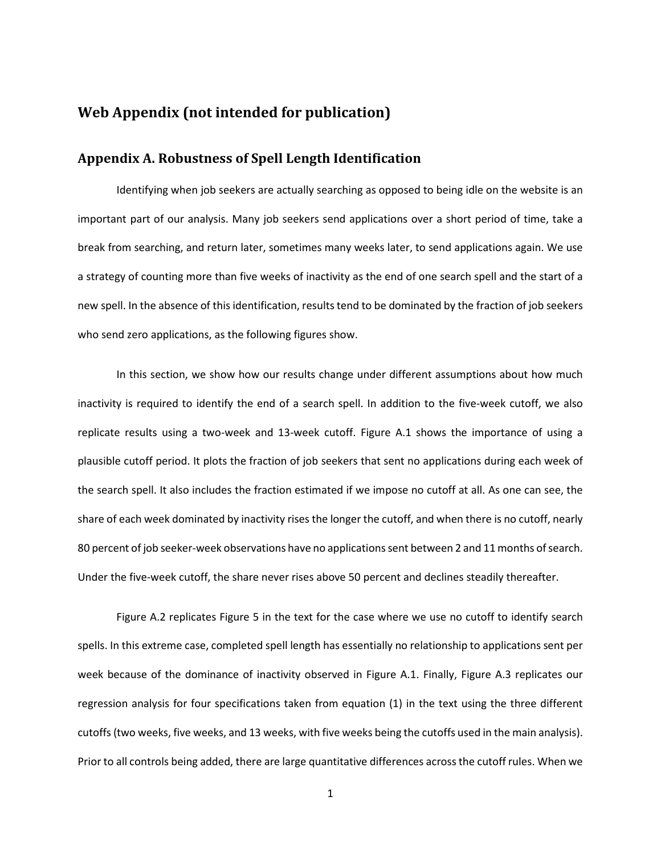# **Web Appendix (not intended for publication)**

### **Appendix A. Robustness of Spell Length Identification**

Identifying when job seekers are actually searching as opposed to being idle on the website is an important part of our analysis. Many job seekers send applications over a short period of time, take a break from searching, and return later, sometimes many weeks later, to send applications again. We use a strategy of counting more than five weeks of inactivity as the end of one search spell and the start of a new spell. In the absence of this identification, results tend to be dominated by the fraction of job seekers who send zero applications, as the following figures show.

In this section, we show how our results change under different assumptions about how much inactivity is required to identify the end of a search spell. In addition to the five-week cutoff, we also replicate results using a two-week and 13-week cutoff. Figure A.1 shows the importance of using a plausible cutoff period. It plots the fraction of job seekers that sent no applications during each week of the search spell. It also includes the fraction estimated if we impose no cutoff at all. As one can see, the share of each week dominated by inactivity rises the longer the cutoff, and when there is no cutoff, nearly 80 percent of job seeker-week observations have no applications sent between 2 and 11 months of search. Under the five-week cutoff, the share never rises above 50 percent and declines steadily thereafter.

Figure A.2 replicates Figure 5 in the text for the case where we use no cutoff to identify search spells. In this extreme case, completed spell length has essentially no relationship to applications sent per week because of the dominance of inactivity observed in Figure A.1. Finally, Figure A.3 replicates our regression analysis for four specifications taken from equation (1) in the text using the three different cutoffs (two weeks, five weeks, and 13 weeks, with five weeks being the cutoffs used in the main analysis). Prior to all controls being added, there are large quantitative differences across the cutoff rules. When we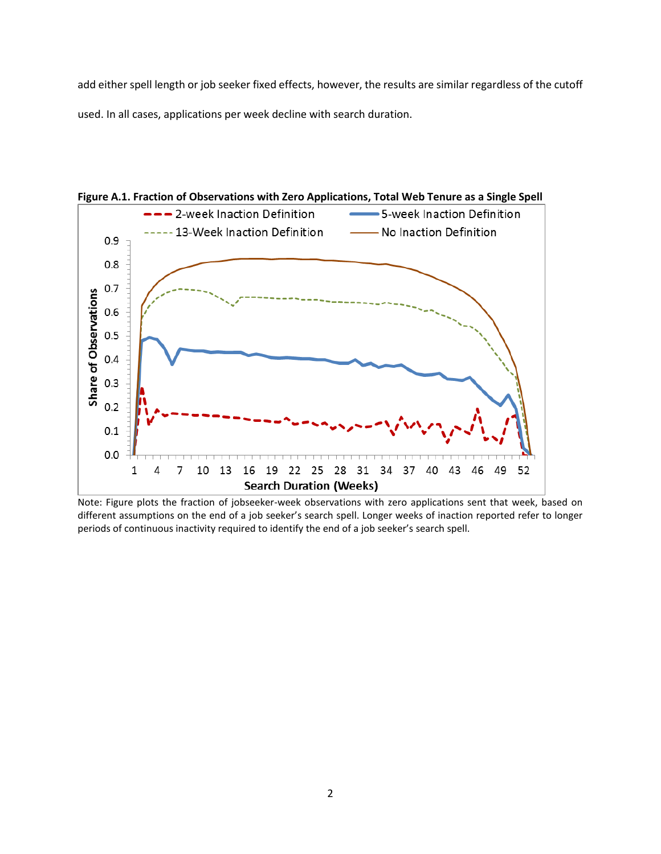add either spell length or job seeker fixed effects, however, the results are similar regardless of the cutoff used. In all cases, applications per week decline with search duration.



Note: Figure plots the fraction of jobseeker-week observations with zero applications sent that week, based on different assumptions on the end of a job seeker's search spell. Longer weeks of inaction reported refer to longer periods of continuous inactivity required to identify the end of a job seeker's search spell.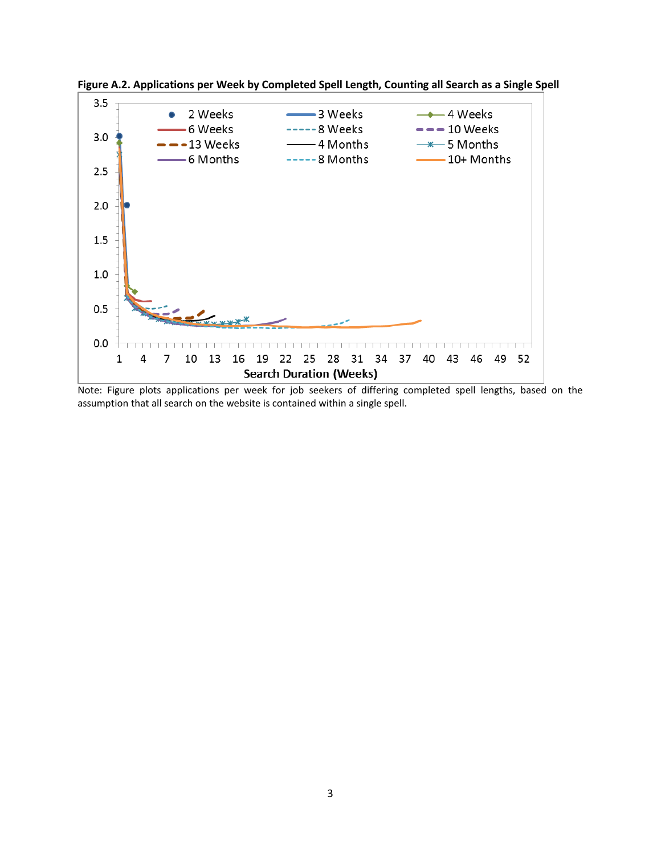

**Figure A.2. Applications per Week by Completed Spell Length, Counting all Search as a Single Spell**

Note: Figure plots applications per week for job seekers of differing completed spell lengths, based on the assumption that all search on the website is contained within a single spell.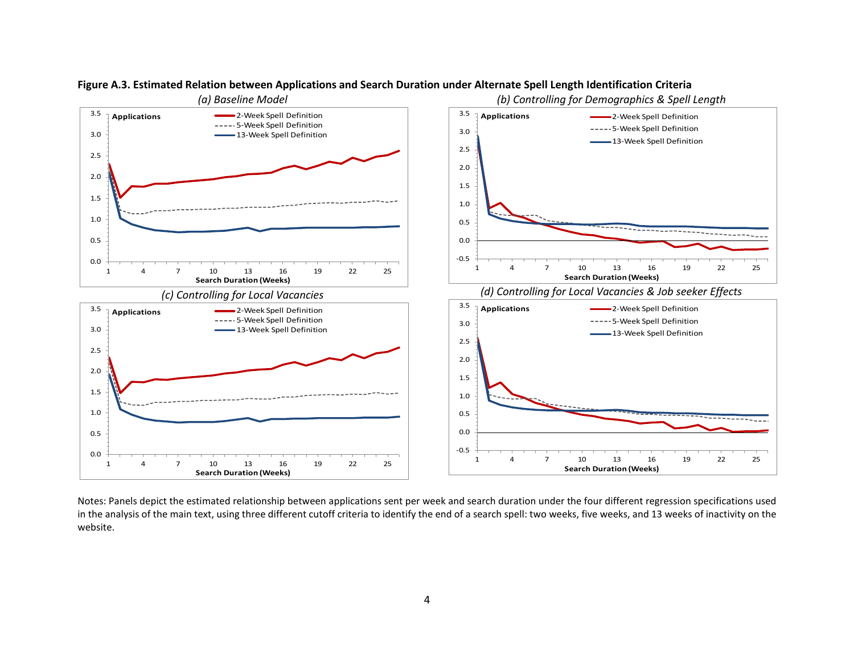

### **Figure A.3. Estimated Relation between Applications and Search Duration under Alternate Spell Length Identification Criteria**

Notes: Panels depict the estimated relationship between applications sent per week and search duration under the four different regression specifications used in the analysis of the main text, using three different cutoff criteria to identify the end of a search spell: two weeks, five weeks, and 13 weeks of inactivity on the website.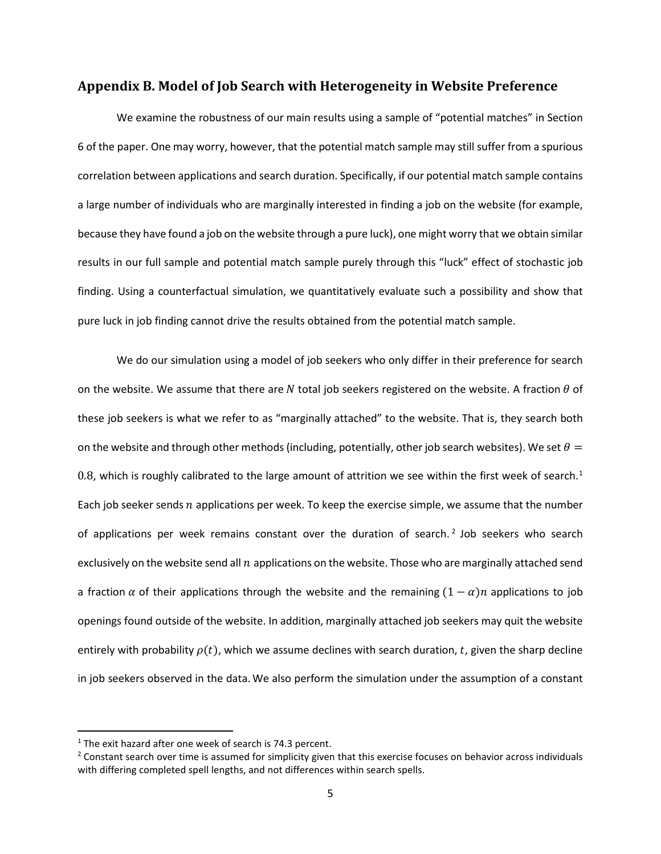#### **Appendix B. Model of Job Search with Heterogeneity in Website Preference**

We examine the robustness of our main results using a sample of "potential matches" in Section 6 of the paper. One may worry, however, that the potential match sample may still suffer from a spurious correlation between applications and search duration. Specifically, if our potential match sample contains a large number of individuals who are marginally interested in finding a job on the website (for example, because they have found a job on the website through a pure luck), one might worry that we obtain similar results in our full sample and potential match sample purely through this "luck" effect of stochastic job finding. Using a counterfactual simulation, we quantitatively evaluate such a possibility and show that pure luck in job finding cannot drive the results obtained from the potential match sample.

We do our simulation using a model of job seekers who only differ in their preference for search on the website. We assume that there are N total job seekers registered on the website. A fraction  $\theta$  of these job seekers is what we refer to as "marginally attached" to the website. That is, they search both on the website and through other methods (including, potentially, other job search websites). We set  $\theta =$ 0.8, which is roughly calibrated to the large amount of attrition we see within the first week of search.<sup>[1](#page-4-0)</sup> Each job seeker sends  $n$  applications per week. To keep the exercise simple, we assume that the number of applications per week remains constant over the duration of search.<sup>[2](#page-4-1)</sup> Job seekers who search exclusively on the website send all  $n$  applications on the website. Those who are marginally attached send a fraction  $\alpha$  of their applications through the website and the remaining  $(1 - \alpha)n$  applications to job openings found outside of the website. In addition, marginally attached job seekers may quit the website entirely with probability  $\rho(t)$ , which we assume declines with search duration, t, given the sharp decline in job seekers observed in the data. We also perform the simulation under the assumption of a constant

<span id="page-4-0"></span> $1$ <sup>1</sup> The exit hazard after one week of search is 74.3 percent.

<span id="page-4-1"></span><sup>&</sup>lt;sup>2</sup> Constant search over time is assumed for simplicity given that this exercise focuses on behavior across individuals with differing completed spell lengths, and not differences within search spells.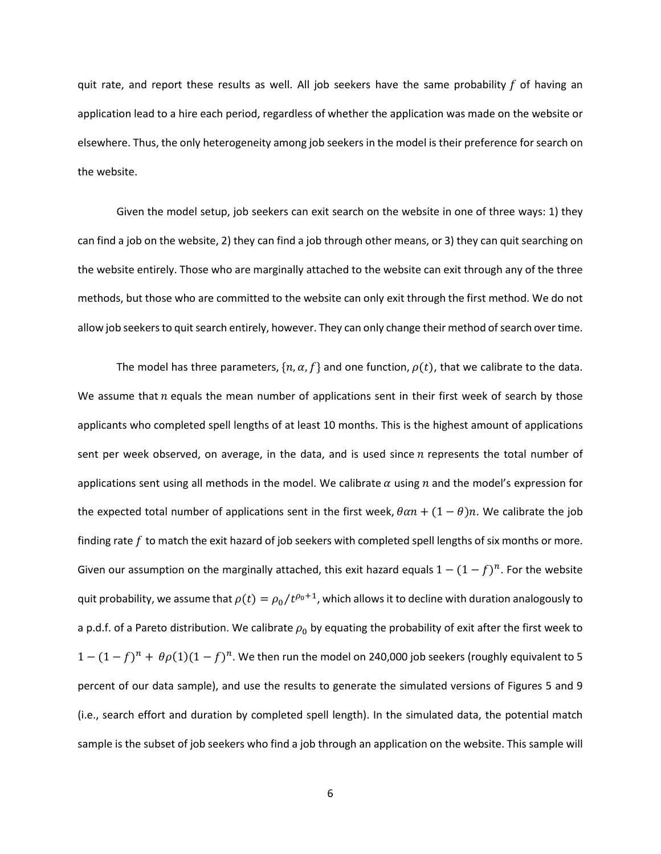quit rate, and report these results as well. All job seekers have the same probability  $f$  of having an application lead to a hire each period, regardless of whether the application was made on the website or elsewhere. Thus, the only heterogeneity among job seekers in the model is their preference for search on the website.

Given the model setup, job seekers can exit search on the website in one of three ways: 1) they can find a job on the website, 2) they can find a job through other means, or 3) they can quit searching on the website entirely. Those who are marginally attached to the website can exit through any of the three methods, but those who are committed to the website can only exit through the first method. We do not allow job seekers to quit search entirely, however. They can only change their method of search over time.

The model has three parameters,  $\{n, \alpha, f\}$  and one function,  $\rho(t)$ , that we calibrate to the data. We assume that  $n$  equals the mean number of applications sent in their first week of search by those applicants who completed spell lengths of at least 10 months. This is the highest amount of applications sent per week observed, on average, in the data, and is used since  $n$  represents the total number of applications sent using all methods in the model. We calibrate  $\alpha$  using n and the model's expression for the expected total number of applications sent in the first week,  $\theta \alpha n + (1 - \theta)n$ . We calibrate the job finding rate  $f$  to match the exit hazard of job seekers with completed spell lengths of six months or more. Given our assumption on the marginally attached, this exit hazard equals  $1 - (1 - f)^n$ . For the website quit probability, we assume that  $\rho(t) = \rho_0 / t^{\rho_0+1}$ , which allows it to decline with duration analogously to a p.d.f. of a Pareto distribution. We calibrate  $\rho_0$  by equating the probability of exit after the first week to  $1 - (1 - f)^n + \theta \rho(1)(1 - f)^n$ . We then run the model on 240,000 job seekers (roughly equivalent to 5 percent of our data sample), and use the results to generate the simulated versions of Figures 5 and 9 (i.e., search effort and duration by completed spell length). In the simulated data, the potential match sample is the subset of job seekers who find a job through an application on the website. This sample will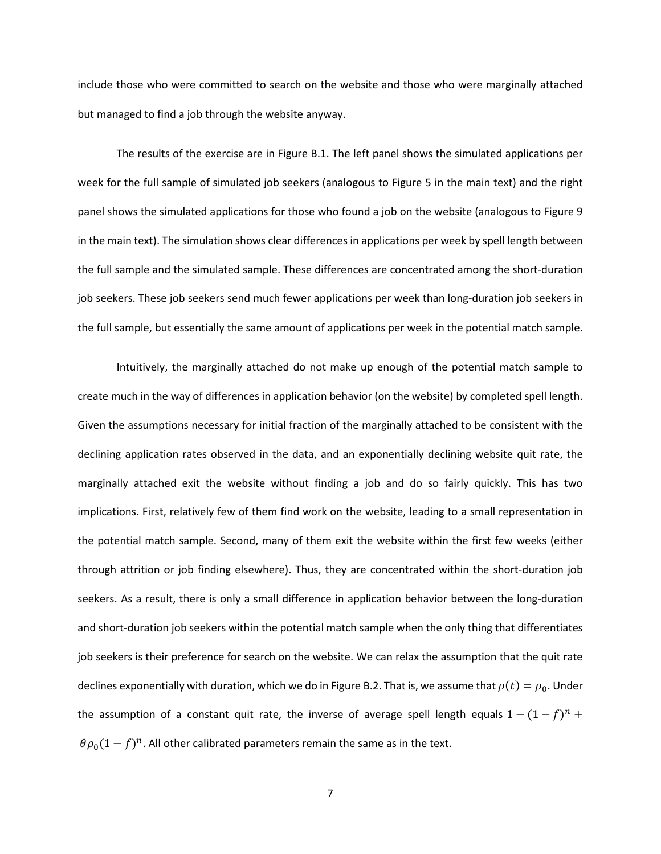include those who were committed to search on the website and those who were marginally attached but managed to find a job through the website anyway.

The results of the exercise are in Figure B.1. The left panel shows the simulated applications per week for the full sample of simulated job seekers (analogous to Figure 5 in the main text) and the right panel shows the simulated applications for those who found a job on the website (analogous to Figure 9 in the main text). The simulation shows clear differences in applications per week by spell length between the full sample and the simulated sample. These differences are concentrated among the short-duration job seekers. These job seekers send much fewer applications per week than long-duration job seekers in the full sample, but essentially the same amount of applications per week in the potential match sample.

Intuitively, the marginally attached do not make up enough of the potential match sample to create much in the way of differences in application behavior (on the website) by completed spell length. Given the assumptions necessary for initial fraction of the marginally attached to be consistent with the declining application rates observed in the data, and an exponentially declining website quit rate, the marginally attached exit the website without finding a job and do so fairly quickly. This has two implications. First, relatively few of them find work on the website, leading to a small representation in the potential match sample. Second, many of them exit the website within the first few weeks (either through attrition or job finding elsewhere). Thus, they are concentrated within the short-duration job seekers. As a result, there is only a small difference in application behavior between the long-duration and short-duration job seekers within the potential match sample when the only thing that differentiates job seekers is their preference for search on the website. We can relax the assumption that the quit rate declines exponentially with duration, which we do in Figure B.2. That is, we assume that  $\rho(t) = \rho_0$ . Under the assumption of a constant quit rate, the inverse of average spell length equals  $1 - (1 - f)^n$  +  $\theta \rho_0 (1 - f)^n$ . All other calibrated parameters remain the same as in the text.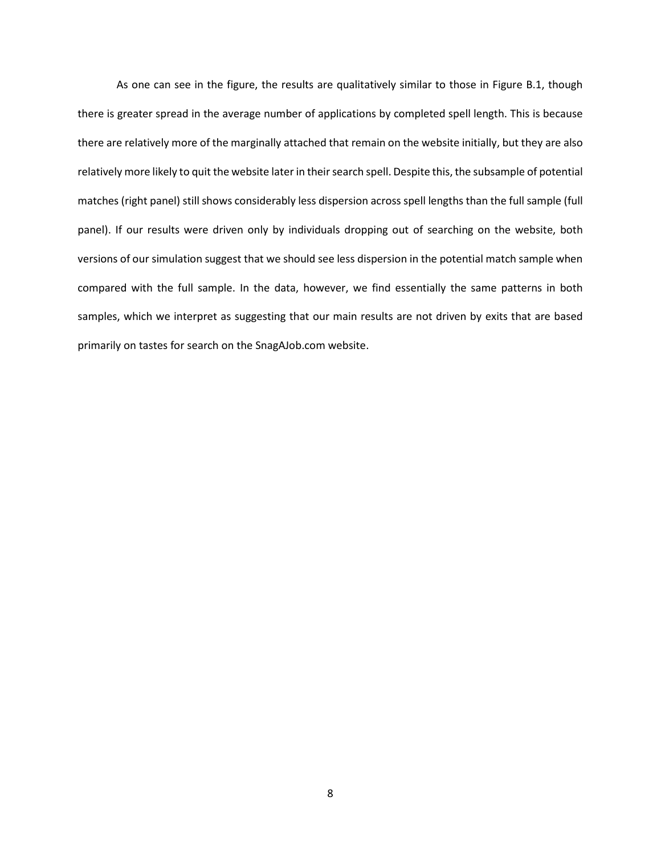As one can see in the figure, the results are qualitatively similar to those in Figure B.1, though there is greater spread in the average number of applications by completed spell length. This is because there are relatively more of the marginally attached that remain on the website initially, but they are also relatively more likely to quit the website later in their search spell. Despite this, the subsample of potential matches (right panel) still shows considerably less dispersion across spell lengths than the full sample (full panel). If our results were driven only by individuals dropping out of searching on the website, both versions of our simulation suggest that we should see less dispersion in the potential match sample when compared with the full sample. In the data, however, we find essentially the same patterns in both samples, which we interpret as suggesting that our main results are not driven by exits that are based primarily on tastes for search on the SnagAJob.com website.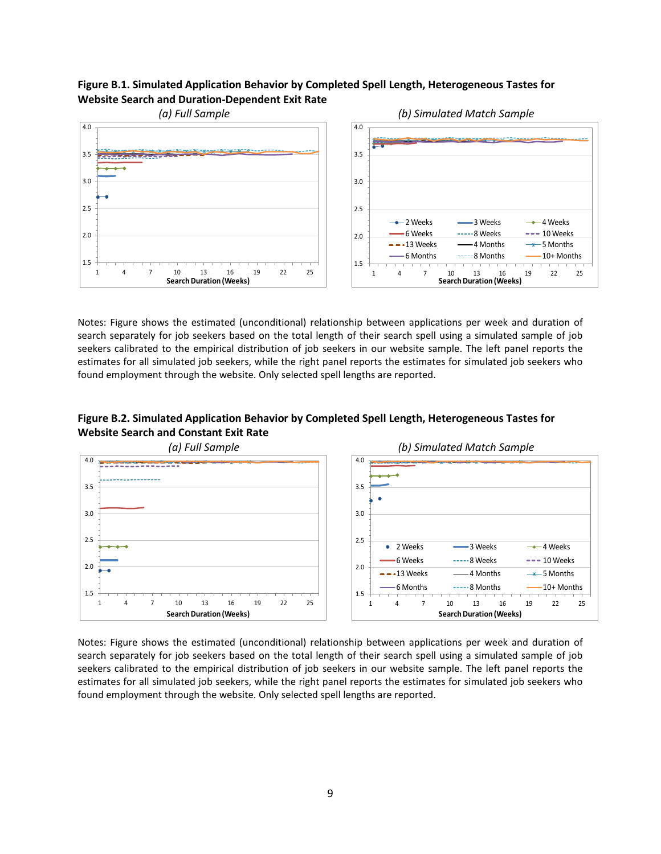#### **Figure B.1. Simulated Application Behavior by Completed Spell Length, Heterogeneous Tastes for Website Search and Duration-Dependent Exit Rate**



Notes: Figure shows the estimated (unconditional) relationship between applications per week and duration of search separately for job seekers based on the total length of their search spell using a simulated sample of job seekers calibrated to the empirical distribution of job seekers in our website sample. The left panel reports the estimates for all simulated job seekers, while the right panel reports the estimates for simulated job seekers who found employment through the website. Only selected spell lengths are reported.

## **Figure B.2. Simulated Application Behavior by Completed Spell Length, Heterogeneous Tastes for Website Search and Constant Exit Rate**



Notes: Figure shows the estimated (unconditional) relationship between applications per week and duration of search separately for job seekers based on the total length of their search spell using a simulated sample of job seekers calibrated to the empirical distribution of job seekers in our website sample. The left panel reports the estimates for all simulated job seekers, while the right panel reports the estimates for simulated job seekers who found employment through the website. Only selected spell lengths are reported.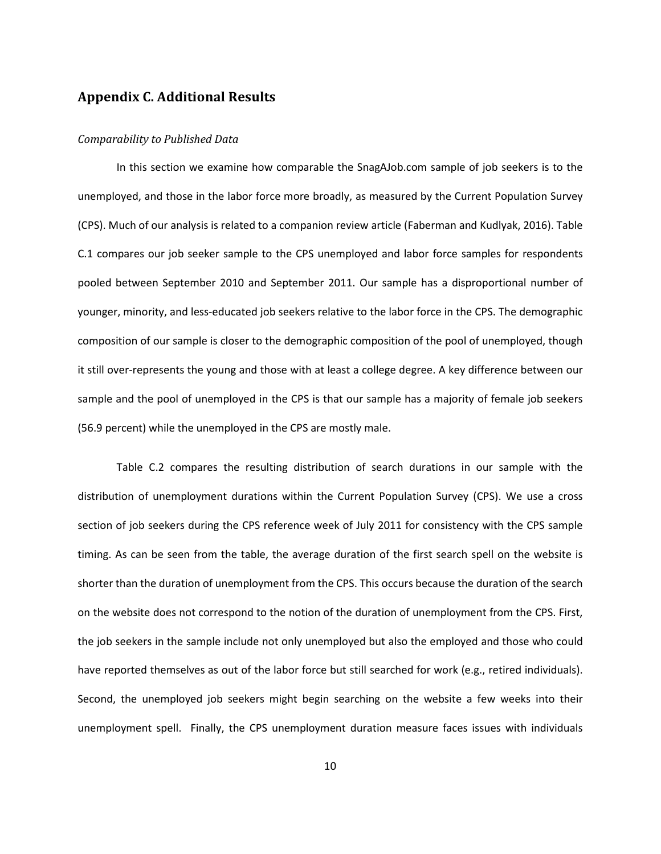## **Appendix C. Additional Results**

#### *Comparability to Published Data*

In this section we examine how comparable the SnagAJob.com sample of job seekers is to the unemployed, and those in the labor force more broadly, as measured by the Current Population Survey (CPS). Much of our analysis is related to a companion review article (Faberman and Kudlyak, 2016). Table C.1 compares our job seeker sample to the CPS unemployed and labor force samples for respondents pooled between September 2010 and September 2011. Our sample has a disproportional number of younger, minority, and less-educated job seekers relative to the labor force in the CPS. The demographic composition of our sample is closer to the demographic composition of the pool of unemployed, though it still over-represents the young and those with at least a college degree. A key difference between our sample and the pool of unemployed in the CPS is that our sample has a majority of female job seekers (56.9 percent) while the unemployed in the CPS are mostly male.

Table C.2 compares the resulting distribution of search durations in our sample with the distribution of unemployment durations within the Current Population Survey (CPS). We use a cross section of job seekers during the CPS reference week of July 2011 for consistency with the CPS sample timing. As can be seen from the table, the average duration of the first search spell on the website is shorter than the duration of unemployment from the CPS. This occurs because the duration of the search on the website does not correspond to the notion of the duration of unemployment from the CPS. First, the job seekers in the sample include not only unemployed but also the employed and those who could have reported themselves as out of the labor force but still searched for work (e.g., retired individuals). Second, the unemployed job seekers might begin searching on the website a few weeks into their unemployment spell. Finally, the CPS unemployment duration measure faces issues with individuals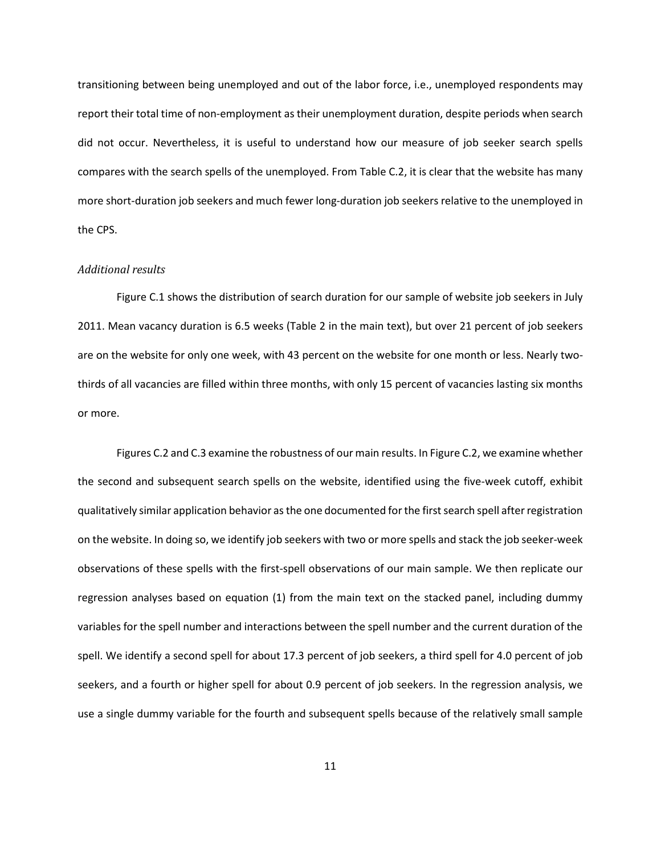transitioning between being unemployed and out of the labor force, i.e., unemployed respondents may report their total time of non-employment as their unemployment duration, despite periods when search did not occur. Nevertheless, it is useful to understand how our measure of job seeker search spells compares with the search spells of the unemployed. From Table C.2, it is clear that the website has many more short-duration job seekers and much fewer long-duration job seekers relative to the unemployed in the CPS.

#### *Additional results*

Figure C.1 shows the distribution of search duration for our sample of website job seekers in July 2011. Mean vacancy duration is 6.5 weeks (Table 2 in the main text), but over 21 percent of job seekers are on the website for only one week, with 43 percent on the website for one month or less. Nearly twothirds of all vacancies are filled within three months, with only 15 percent of vacancies lasting six months or more.

Figures C.2 and C.3 examine the robustness of our main results. In Figure C.2, we examine whether the second and subsequent search spells on the website, identified using the five-week cutoff, exhibit qualitatively similar application behavior as the one documented for the first search spell after registration on the website. In doing so, we identify job seekers with two or more spells and stack the job seeker-week observations of these spells with the first-spell observations of our main sample. We then replicate our regression analyses based on equation (1) from the main text on the stacked panel, including dummy variables for the spell number and interactions between the spell number and the current duration of the spell. We identify a second spell for about 17.3 percent of job seekers, a third spell for 4.0 percent of job seekers, and a fourth or higher spell for about 0.9 percent of job seekers. In the regression analysis, we use a single dummy variable for the fourth and subsequent spells because of the relatively small sample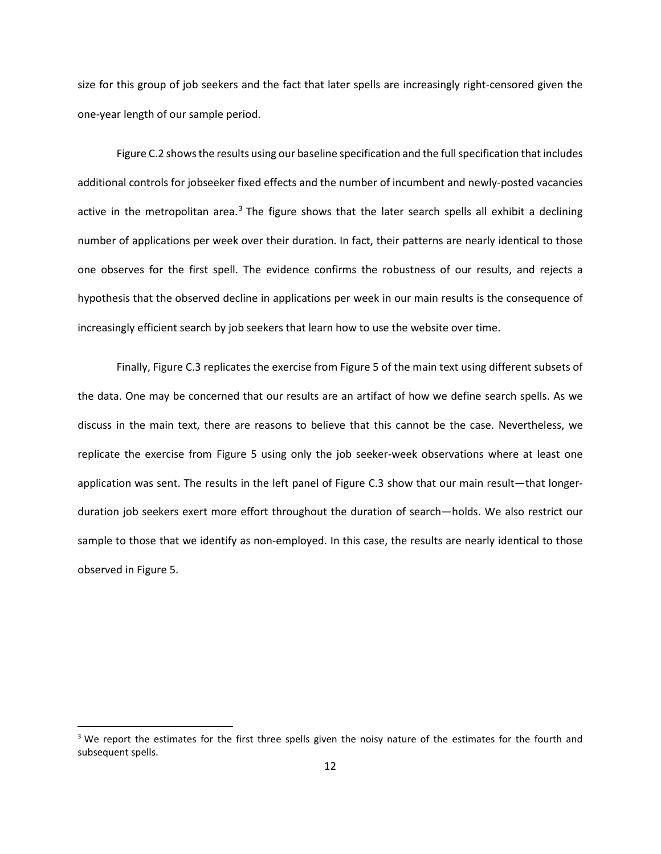size for this group of job seekers and the fact that later spells are increasingly right-censored given the one-year length of our sample period.

Figure C.2 shows the results using our baseline specification and the full specification that includes additional controls for jobseeker fixed effects and the number of incumbent and newly-posted vacancies active in the metropolitan area. $3$  The figure shows that the later search spells all exhibit a declining number of applications per week over their duration. In fact, their patterns are nearly identical to those one observes for the first spell. The evidence confirms the robustness of our results, and rejects a hypothesis that the observed decline in applications per week in our main results is the consequence of increasingly efficient search by job seekers that learn how to use the website over time.

Finally, Figure C.3 replicates the exercise from Figure 5 of the main text using different subsets of the data. One may be concerned that our results are an artifact of how we define search spells. As we discuss in the main text, there are reasons to believe that this cannot be the case. Nevertheless, we replicate the exercise from Figure 5 using only the job seeker-week observations where at least one application was sent. The results in the left panel of Figure C.3 show that our main result—that longerduration job seekers exert more effort throughout the duration of search—holds. We also restrict our sample to those that we identify as non-employed. In this case, the results are nearly identical to those observed in Figure 5.

<span id="page-11-0"></span> $3$  We report the estimates for the first three spells given the noisy nature of the estimates for the fourth and subsequent spells.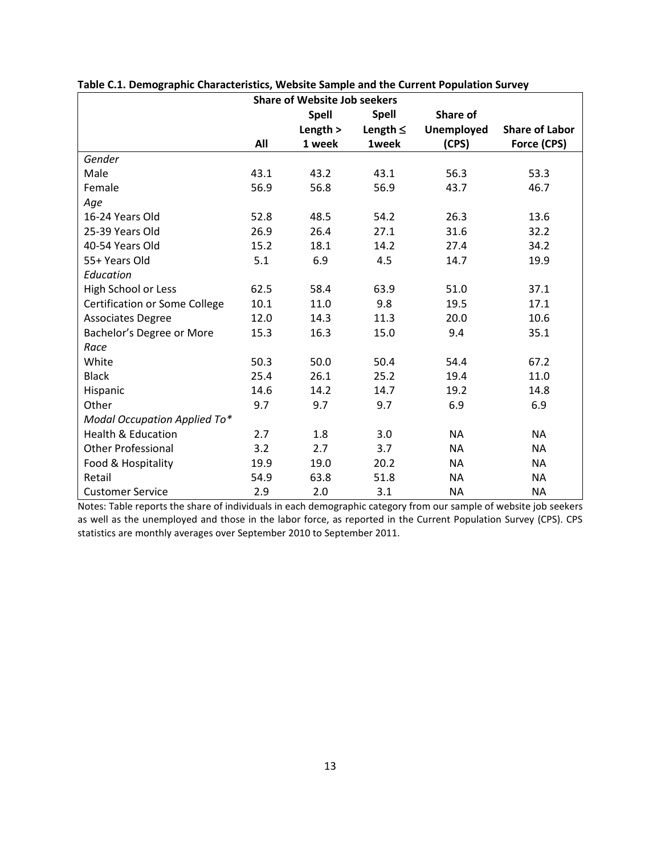|                                      | <b>Share of Website Job seekers</b> |              |               |                   |                       |  |  |  |
|--------------------------------------|-------------------------------------|--------------|---------------|-------------------|-----------------------|--|--|--|
|                                      |                                     | <b>Spell</b> | <b>Spell</b>  | Share of          |                       |  |  |  |
|                                      |                                     | Length $>$   | Length $\leq$ | <b>Unemployed</b> | <b>Share of Labor</b> |  |  |  |
|                                      | All                                 | 1 week       | 1week         | (CPS)             | Force (CPS)           |  |  |  |
| Gender                               |                                     |              |               |                   |                       |  |  |  |
| Male                                 | 43.1                                | 43.2         | 43.1          | 56.3              | 53.3                  |  |  |  |
| Female                               | 56.9                                | 56.8         | 56.9          | 43.7              | 46.7                  |  |  |  |
| Age                                  |                                     |              |               |                   |                       |  |  |  |
| 16-24 Years Old                      | 52.8                                | 48.5         | 54.2          | 26.3              | 13.6                  |  |  |  |
| 25-39 Years Old                      | 26.9                                | 26.4         | 27.1          | 31.6              | 32.2                  |  |  |  |
| 40-54 Years Old                      | 15.2                                | 18.1         | 14.2          | 27.4              | 34.2                  |  |  |  |
| 55+ Years Old                        | 5.1                                 | 6.9          | 4.5           | 14.7              | 19.9                  |  |  |  |
| Education                            |                                     |              |               |                   |                       |  |  |  |
| High School or Less                  | 62.5                                | 58.4         | 63.9          | 51.0              | 37.1                  |  |  |  |
| <b>Certification or Some College</b> | 10.1                                | 11.0         | 9.8           | 19.5              | 17.1                  |  |  |  |
| <b>Associates Degree</b>             | 12.0                                | 14.3         | 11.3          | 20.0              | 10.6                  |  |  |  |
| Bachelor's Degree or More            | 15.3                                | 16.3         | 15.0          | 9.4               | 35.1                  |  |  |  |
| Race                                 |                                     |              |               |                   |                       |  |  |  |
| White                                | 50.3                                | 50.0         | 50.4          | 54.4              | 67.2                  |  |  |  |
| <b>Black</b>                         | 25.4                                | 26.1         | 25.2          | 19.4              | 11.0                  |  |  |  |
| Hispanic                             | 14.6                                | 14.2         | 14.7          | 19.2              | 14.8                  |  |  |  |
| Other                                | 9.7                                 | 9.7          | 9.7           | 6.9               | 6.9                   |  |  |  |
| Modal Occupation Applied To*         |                                     |              |               |                   |                       |  |  |  |
| <b>Health &amp; Education</b>        | 2.7                                 | 1.8          | 3.0           | <b>NA</b>         | NA                    |  |  |  |
| <b>Other Professional</b>            | 3.2                                 | 2.7          | 3.7           | <b>NA</b>         | NA                    |  |  |  |
| Food & Hospitality                   | 19.9                                | 19.0         | 20.2          | <b>NA</b>         | <b>NA</b>             |  |  |  |
| Retail                               | 54.9                                | 63.8         | 51.8          | <b>NA</b>         | <b>NA</b>             |  |  |  |
| <b>Customer Service</b>              | 2.9                                 | 2.0          | 3.1           | <b>NA</b>         | <b>NA</b>             |  |  |  |

**Table C.1. Demographic Characteristics, Website Sample and the Current Population Survey**

Notes: Table reports the share of individuals in each demographic category from our sample of website job seekers as well as the unemployed and those in the labor force, as reported in the Current Population Survey (CPS). CPS statistics are monthly averages over September 2010 to September 2011.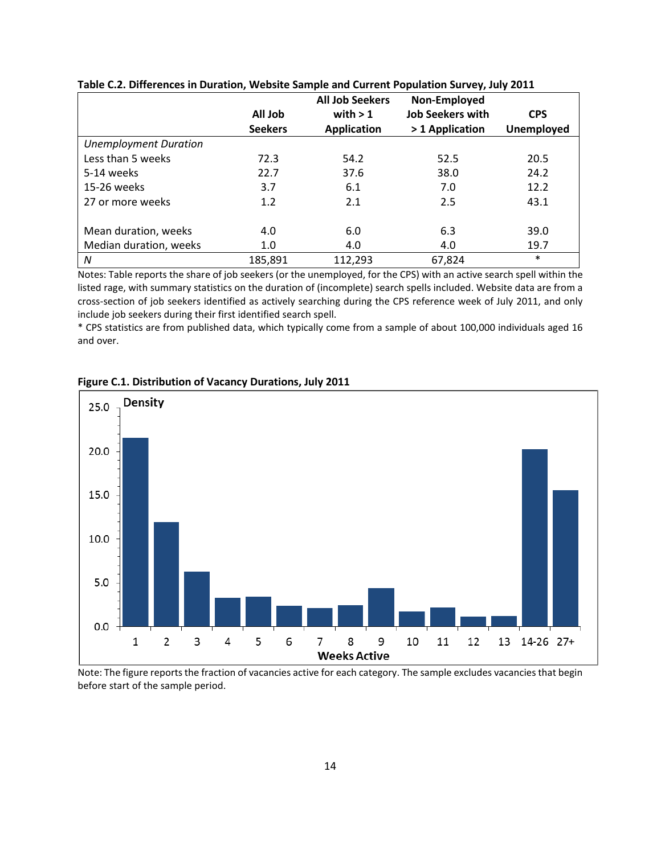|                              | <b>All Job</b> | <b>All Job Seekers</b><br>with $> 1$ | Non-Employed<br><b>Job Seekers with</b> | <b>CPS</b>        |
|------------------------------|----------------|--------------------------------------|-----------------------------------------|-------------------|
|                              | <b>Seekers</b> | <b>Application</b>                   | > 1 Application                         | <b>Unemployed</b> |
| <b>Unemployment Duration</b> |                |                                      |                                         |                   |
| Less than 5 weeks            | 72.3           | 54.2                                 | 52.5                                    | 20.5              |
| 5-14 weeks                   | 22.7           | 37.6                                 | 38.0                                    | 24.2              |
| 15-26 weeks                  | 3.7            | 6.1                                  | 7.0                                     | 12.2              |
| 27 or more weeks             | 1.2            | 2.1                                  | 2.5                                     | 43.1              |
|                              |                |                                      |                                         |                   |
| Mean duration, weeks         | 4.0            | 6.0                                  | 6.3                                     | 39.0              |
| Median duration, weeks       | 1.0            | 4.0                                  | 4.0                                     | 19.7              |
| N                            | 185,891        | 112,293                              | 67,824                                  | $\ast$            |

**Table C.2. Differences in Duration, Website Sample and Current Population Survey, July 2011**

Notes: Table reports the share of job seekers (or the unemployed, for the CPS) with an active search spell within the listed rage, with summary statistics on the duration of (incomplete) search spells included. Website data are from a cross-section of job seekers identified as actively searching during the CPS reference week of July 2011, and only include job seekers during their first identified search spell.

\* CPS statistics are from published data, which typically come from a sample of about 100,000 individuals aged 16 and over.



**Figure C.1. Distribution of Vacancy Durations, July 2011**

Note: The figure reports the fraction of vacancies active for each category. The sample excludes vacancies that begin before start of the sample period.